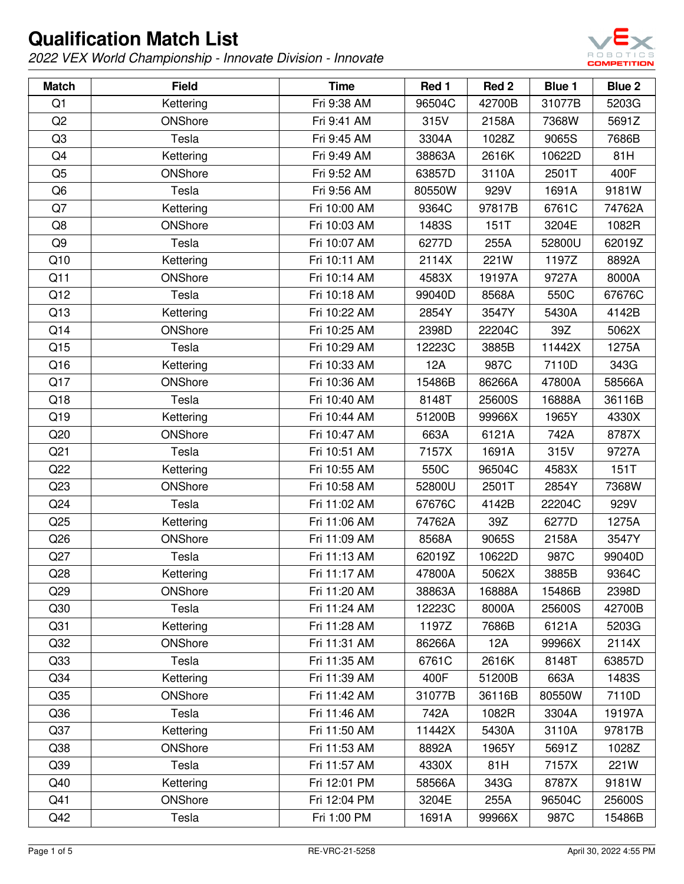

| <b>Match</b>    | <b>Field</b> | <b>Time</b>  | Red 1  | Red 2  | <b>Blue 1</b> | Blue 2 |
|-----------------|--------------|--------------|--------|--------|---------------|--------|
| Q1              | Kettering    | Fri 9:38 AM  | 96504C | 42700B | 31077B        | 5203G  |
| Q2              | ONShore      | Fri 9:41 AM  | 315V   | 2158A  | 7368W         | 5691Z  |
| Q <sub>3</sub>  | Tesla        | Fri 9:45 AM  | 3304A  | 1028Z  | 9065S         | 7686B  |
| Q4              | Kettering    | Fri 9:49 AM  | 38863A | 2616K  | 10622D        | 81H    |
| Q <sub>5</sub>  | ONShore      | Fri 9:52 AM  | 63857D | 3110A  | 2501T         | 400F   |
| Q <sub>6</sub>  | Tesla        | Fri 9:56 AM  | 80550W | 929V   | 1691A         | 9181W  |
| Q7              | Kettering    | Fri 10:00 AM | 9364C  | 97817B | 6761C         | 74762A |
| Q8              | ONShore      | Fri 10:03 AM | 1483S  | 151T   | 3204E         | 1082R  |
| Q9              | Tesla        | Fri 10:07 AM | 6277D  | 255A   | 52800U        | 62019Z |
| Q10             | Kettering    | Fri 10:11 AM | 2114X  | 221W   | 1197Z         | 8892A  |
| Q11             | ONShore      | Fri 10:14 AM | 4583X  | 19197A | 9727A         | 8000A  |
| Q12             | Tesla        | Fri 10:18 AM | 99040D | 8568A  | 550C          | 67676C |
| Q13             | Kettering    | Fri 10:22 AM | 2854Y  | 3547Y  | 5430A         | 4142B  |
| Q14             | ONShore      | Fri 10:25 AM | 2398D  | 22204C | 39Z           | 5062X  |
| Q15             | Tesla        | Fri 10:29 AM | 12223C | 3885B  | 11442X        | 1275A  |
| Q16             | Kettering    | Fri 10:33 AM | 12A    | 987C   | 7110D         | 343G   |
| Q17             | ONShore      | Fri 10:36 AM | 15486B | 86266A | 47800A        | 58566A |
| Q18             | Tesla        | Fri 10:40 AM | 8148T  | 25600S | 16888A        | 36116B |
| Q19             | Kettering    | Fri 10:44 AM | 51200B | 99966X | 1965Y         | 4330X  |
| Q20             | ONShore      | Fri 10:47 AM | 663A   | 6121A  | 742A          | 8787X  |
| Q <sub>21</sub> | Tesla        | Fri 10:51 AM | 7157X  | 1691A  | 315V          | 9727A  |
| Q22             | Kettering    | Fri 10:55 AM | 550C   | 96504C | 4583X         | 151T   |
| Q23             | ONShore      | Fri 10:58 AM | 52800U | 2501T  | 2854Y         | 7368W  |
| Q24             | Tesla        | Fri 11:02 AM | 67676C | 4142B  | 22204C        | 929V   |
| Q25             | Kettering    | Fri 11:06 AM | 74762A | 39Z    | 6277D         | 1275A  |
| Q26             | ONShore      | Fri 11:09 AM | 8568A  | 9065S  | 2158A         | 3547Y  |
| Q27             | Tesla        | Fri 11:13 AM | 62019Z | 10622D | 987C          | 99040D |
| Q28             | Kettering    | Fri 11:17 AM | 47800A | 5062X  | 3885B         | 9364C  |
| Q29             | ONShore      | Fri 11:20 AM | 38863A | 16888A | 15486B        | 2398D  |
| Q30             | Tesla        | Fri 11:24 AM | 12223C | 8000A  | 25600S        | 42700B |
| Q <sub>31</sub> | Kettering    | Fri 11:28 AM | 1197Z  | 7686B  | 6121A         | 5203G  |
| Q <sub>32</sub> | ONShore      | Fri 11:31 AM | 86266A | 12A    | 99966X        | 2114X  |
| Q33             | Tesla        | Fri 11:35 AM | 6761C  | 2616K  | 8148T         | 63857D |
| Q <sub>34</sub> | Kettering    | Fri 11:39 AM | 400F   | 51200B | 663A          | 1483S  |
| Q35             | ONShore      | Fri 11:42 AM | 31077B | 36116B | 80550W        | 7110D  |
| Q36             | Tesla        | Fri 11:46 AM | 742A   | 1082R  | 3304A         | 19197A |
| Q <sub>37</sub> | Kettering    | Fri 11:50 AM | 11442X | 5430A  | 3110A         | 97817B |
| Q38             | ONShore      | Fri 11:53 AM | 8892A  | 1965Y  | 5691Z         | 1028Z  |
| Q39             | Tesla        | Fri 11:57 AM | 4330X  | 81H    | 7157X         | 221W   |
| Q40             | Kettering    | Fri 12:01 PM | 58566A | 343G   | 8787X         | 9181W  |
| Q41             | ONShore      | Fri 12:04 PM | 3204E  | 255A   | 96504C        | 25600S |
| Q42             | Tesla        | Fri 1:00 PM  | 1691A  | 99966X | 987C          | 15486B |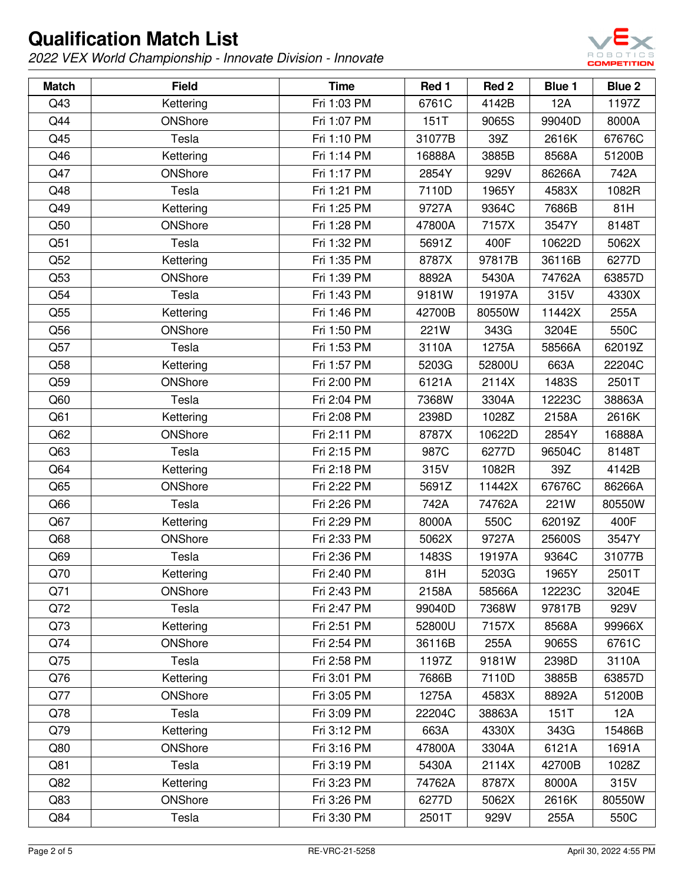

| <b>Match</b> | <b>Field</b> | <b>Time</b> | Red 1  | Red 2  | <b>Blue 1</b> | Blue 2 |
|--------------|--------------|-------------|--------|--------|---------------|--------|
| Q43          | Kettering    | Fri 1:03 PM | 6761C  | 4142B  | 12A           | 1197Z  |
| Q44          | ONShore      | Fri 1:07 PM | 151T   | 9065S  | 99040D        | 8000A  |
| Q45          | Tesla        | Fri 1:10 PM | 31077B | 39Z    | 2616K         | 67676C |
| Q46          | Kettering    | Fri 1:14 PM | 16888A | 3885B  | 8568A         | 51200B |
| Q47          | ONShore      | Fri 1:17 PM | 2854Y  | 929V   | 86266A        | 742A   |
| Q48          | Tesla        | Fri 1:21 PM | 7110D  | 1965Y  | 4583X         | 1082R  |
| Q49          | Kettering    | Fri 1:25 PM | 9727A  | 9364C  | 7686B         | 81H    |
| Q50          | ONShore      | Fri 1:28 PM | 47800A | 7157X  | 3547Y         | 8148T  |
| Q51          | Tesla        | Fri 1:32 PM | 5691Z  | 400F   | 10622D        | 5062X  |
| Q52          | Kettering    | Fri 1:35 PM | 8787X  | 97817B | 36116B        | 6277D  |
| Q53          | ONShore      | Fri 1:39 PM | 8892A  | 5430A  | 74762A        | 63857D |
| Q54          | Tesla        | Fri 1:43 PM | 9181W  | 19197A | 315V          | 4330X  |
| Q55          | Kettering    | Fri 1:46 PM | 42700B | 80550W | 11442X        | 255A   |
| Q56          | ONShore      | Fri 1:50 PM | 221W   | 343G   | 3204E         | 550C   |
| Q57          | Tesla        | Fri 1:53 PM | 3110A  | 1275A  | 58566A        | 62019Z |
| Q58          | Kettering    | Fri 1:57 PM | 5203G  | 52800U | 663A          | 22204C |
| Q59          | ONShore      | Fri 2:00 PM | 6121A  | 2114X  | 1483S         | 2501T  |
| Q60          | Tesla        | Fri 2:04 PM | 7368W  | 3304A  | 12223C        | 38863A |
| Q61          | Kettering    | Fri 2:08 PM | 2398D  | 1028Z  | 2158A         | 2616K  |
| Q62          | ONShore      | Fri 2:11 PM | 8787X  | 10622D | 2854Y         | 16888A |
| Q63          | Tesla        | Fri 2:15 PM | 987C   | 6277D  | 96504C        | 8148T  |
| Q64          | Kettering    | Fri 2:18 PM | 315V   | 1082R  | 39Z           | 4142B  |
| Q65          | ONShore      | Fri 2:22 PM | 5691Z  | 11442X | 67676C        | 86266A |
| Q66          | Tesla        | Fri 2:26 PM | 742A   | 74762A | 221W          | 80550W |
| Q67          | Kettering    | Fri 2:29 PM | 8000A  | 550C   | 62019Z        | 400F   |
| Q68          | ONShore      | Fri 2:33 PM | 5062X  | 9727A  | 25600S        | 3547Y  |
| Q69          | Tesla        | Fri 2:36 PM | 1483S  | 19197A | 9364C         | 31077B |
| Q70          | Kettering    | Fri 2:40 PM | 81H    | 5203G  | 1965Y         | 2501T  |
| Q71          | ONShore      | Fri 2:43 PM | 2158A  | 58566A | 12223C        | 3204E  |
| Q72          | Tesla        | Fri 2:47 PM | 99040D | 7368W  | 97817B        | 929V   |
| Q73          | Kettering    | Fri 2:51 PM | 52800U | 7157X  | 8568A         | 99966X |
| Q74          | ONShore      | Fri 2:54 PM | 36116B | 255A   | 9065S         | 6761C  |
| Q75          | Tesla        | Fri 2:58 PM | 1197Z  | 9181W  | 2398D         | 3110A  |
| Q76          | Kettering    | Fri 3:01 PM | 7686B  | 7110D  | 3885B         | 63857D |
| Q77          | ONShore      | Fri 3:05 PM | 1275A  | 4583X  | 8892A         | 51200B |
| Q78          | Tesla        | Fri 3:09 PM | 22204C | 38863A | 151T          | 12A    |
| Q79          | Kettering    | Fri 3:12 PM | 663A   | 4330X  | 343G          | 15486B |
| Q80          | ONShore      | Fri 3:16 PM | 47800A | 3304A  | 6121A         | 1691A  |
| Q81          | Tesla        | Fri 3:19 PM | 5430A  | 2114X  | 42700B        | 1028Z  |
| Q82          | Kettering    | Fri 3:23 PM | 74762A | 8787X  | 8000A         | 315V   |
| Q83          | ONShore      | Fri 3:26 PM | 6277D  | 5062X  | 2616K         | 80550W |
| Q84          | Tesla        | Fri 3:30 PM | 2501T  | 929V   | 255A          | 550C   |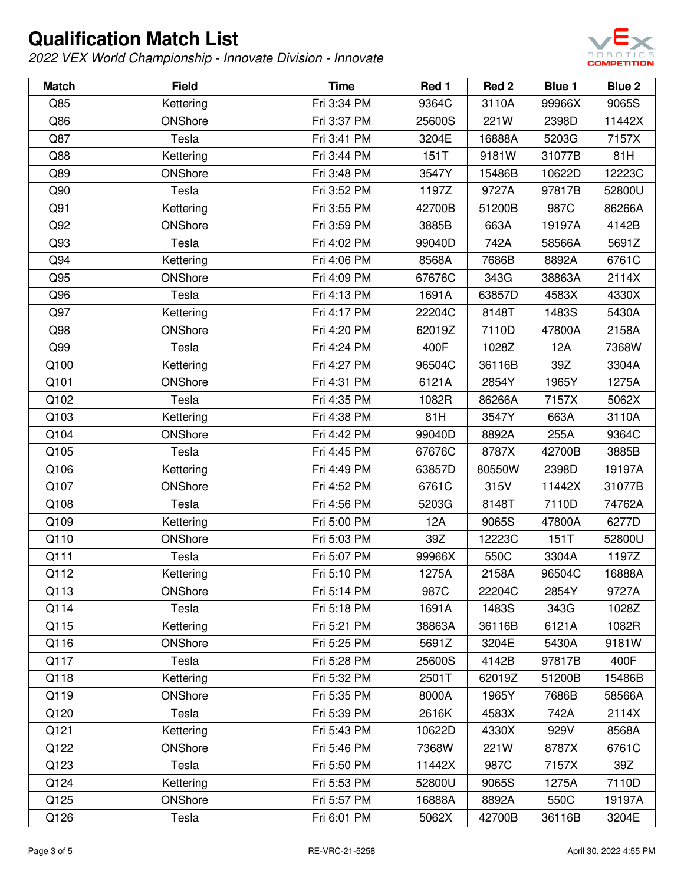

| <b>Match</b> | <b>Field</b> | <b>Time</b> | Red 1  | Red <sub>2</sub> | <b>Blue 1</b> | Blue 2 |
|--------------|--------------|-------------|--------|------------------|---------------|--------|
| Q85          | Kettering    | Fri 3:34 PM | 9364C  | 3110A            | 99966X        | 9065S  |
| Q86          | ONShore      | Fri 3:37 PM | 25600S | 221W             | 2398D         | 11442X |
| Q87          | Tesla        | Fri 3:41 PM | 3204E  | 16888A           | 5203G         | 7157X  |
| Q88          | Kettering    | Fri 3:44 PM | 151T   | 9181W            | 31077B        | 81H    |
| Q89          | ONShore      | Fri 3:48 PM | 3547Y  | 15486B           | 10622D        | 12223C |
| Q90          | Tesla        | Fri 3:52 PM | 1197Z  | 9727A            | 97817B        | 52800U |
| Q91          | Kettering    | Fri 3:55 PM | 42700B | 51200B           | 987C          | 86266A |
| Q92          | ONShore      | Fri 3:59 PM | 3885B  | 663A             | 19197A        | 4142B  |
| Q93          | Tesla        | Fri 4:02 PM | 99040D | 742A             | 58566A        | 5691Z  |
| Q94          | Kettering    | Fri 4:06 PM | 8568A  | 7686B            | 8892A         | 6761C  |
| Q95          | ONShore      | Fri 4:09 PM | 67676C | 343G             | 38863A        | 2114X  |
| Q96          | Tesla        | Fri 4:13 PM | 1691A  | 63857D           | 4583X         | 4330X  |
| Q97          | Kettering    | Fri 4:17 PM | 22204C | 8148T            | 1483S         | 5430A  |
| Q98          | ONShore      | Fri 4:20 PM | 62019Z | 7110D            | 47800A        | 2158A  |
| Q99          | Tesla        | Fri 4:24 PM | 400F   | 1028Z            | 12A           | 7368W  |
| Q100         | Kettering    | Fri 4:27 PM | 96504C | 36116B           | 39Z           | 3304A  |
| Q101         | ONShore      | Fri 4:31 PM | 6121A  | 2854Y            | 1965Y         | 1275A  |
| Q102         | Tesla        | Fri 4:35 PM | 1082R  | 86266A           | 7157X         | 5062X  |
| Q103         | Kettering    | Fri 4:38 PM | 81H    | 3547Y            | 663A          | 3110A  |
| Q104         | ONShore      | Fri 4:42 PM | 99040D | 8892A            | 255A          | 9364C  |
| Q105         | Tesla        | Fri 4:45 PM | 67676C | 8787X            | 42700B        | 3885B  |
| Q106         | Kettering    | Fri 4:49 PM | 63857D | 80550W           | 2398D         | 19197A |
| Q107         | ONShore      | Fri 4:52 PM | 6761C  | 315V             | 11442X        | 31077B |
| Q108         | Tesla        | Fri 4:56 PM | 5203G  | 8148T            | 7110D         | 74762A |
| Q109         | Kettering    | Fri 5:00 PM | 12A    | 9065S            | 47800A        | 6277D  |
| Q110         | ONShore      | Fri 5:03 PM | 39Z    | 12223C           | 151T          | 52800U |
| Q111         | Tesla        | Fri 5:07 PM | 99966X | 550C             | 3304A         | 1197Z  |
| Q112         | Kettering    | Fri 5:10 PM | 1275A  | 2158A            | 96504C        | 16888A |
| Q113         | ONShore      | Fri 5:14 PM | 987C   | 22204C           | 2854Y         | 9727A  |
| Q114         | Tesla        | Fri 5:18 PM | 1691A  | 1483S            | 343G          | 1028Z  |
| Q115         | Kettering    | Fri 5:21 PM | 38863A | 36116B           | 6121A         | 1082R  |
| Q116         | ONShore      | Fri 5:25 PM | 5691Z  | 3204E            | 5430A         | 9181W  |
| Q117         | Tesla        | Fri 5:28 PM | 25600S | 4142B            | 97817B        | 400F   |
| Q118         | Kettering    | Fri 5:32 PM | 2501T  | 62019Z           | 51200B        | 15486B |
| Q119         | ONShore      | Fri 5:35 PM | 8000A  | 1965Y            | 7686B         | 58566A |
| Q120         | Tesla        | Fri 5:39 PM | 2616K  | 4583X            | 742A          | 2114X  |
| Q121         | Kettering    | Fri 5:43 PM | 10622D | 4330X            | 929V          | 8568A  |
| Q122         | ONShore      | Fri 5:46 PM | 7368W  | 221W             | 8787X         | 6761C  |
| Q123         | Tesla        | Fri 5:50 PM | 11442X | 987C             | 7157X         | 39Z    |
| Q124         | Kettering    | Fri 5:53 PM | 52800U | 9065S            | 1275A         | 7110D  |
| Q125         | ONShore      | Fri 5:57 PM | 16888A | 8892A            | 550C          | 19197A |
| Q126         | Tesla        | Fri 6:01 PM | 5062X  | 42700B           | 36116B        | 3204E  |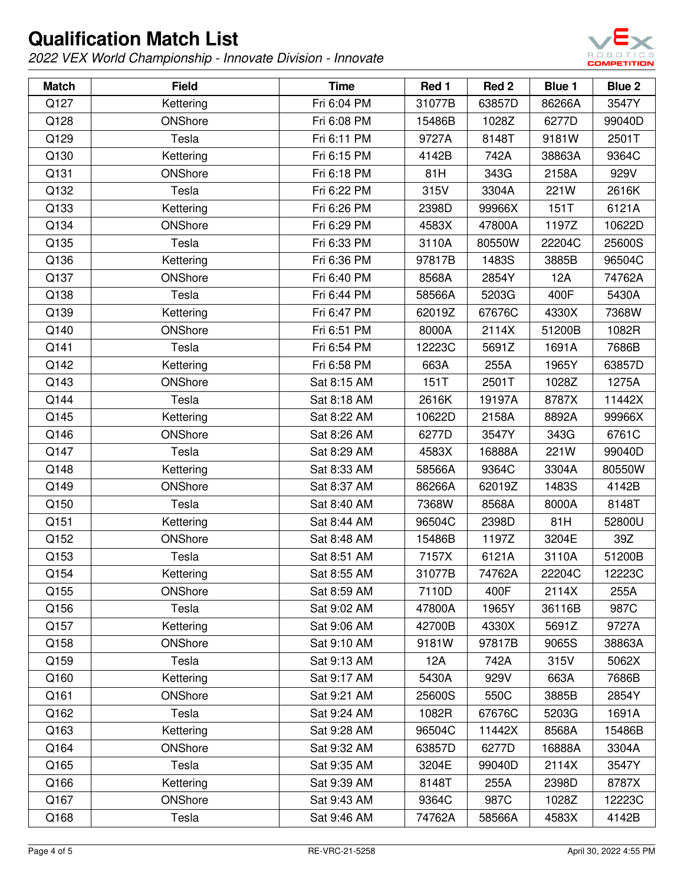

| <b>Match</b> | <b>Field</b> | <b>Time</b> | Red 1  | Red 2  | <b>Blue 1</b> | Blue 2 |
|--------------|--------------|-------------|--------|--------|---------------|--------|
| Q127         | Kettering    | Fri 6:04 PM | 31077B | 63857D | 86266A        | 3547Y  |
| Q128         | ONShore      | Fri 6:08 PM | 15486B | 1028Z  | 6277D         | 99040D |
| Q129         | Tesla        | Fri 6:11 PM | 9727A  | 8148T  | 9181W         | 2501T  |
| Q130         | Kettering    | Fri 6:15 PM | 4142B  | 742A   | 38863A        | 9364C  |
| Q131         | ONShore      | Fri 6:18 PM | 81H    | 343G   | 2158A         | 929V   |
| Q132         | Tesla        | Fri 6:22 PM | 315V   | 3304A  | 221W          | 2616K  |
| Q133         | Kettering    | Fri 6:26 PM | 2398D  | 99966X | 151T          | 6121A  |
| Q134         | ONShore      | Fri 6:29 PM | 4583X  | 47800A | 1197Z         | 10622D |
| Q135         | Tesla        | Fri 6:33 PM | 3110A  | 80550W | 22204C        | 25600S |
| Q136         | Kettering    | Fri 6:36 PM | 97817B | 1483S  | 3885B         | 96504C |
| Q137         | ONShore      | Fri 6:40 PM | 8568A  | 2854Y  | 12A           | 74762A |
| Q138         | Tesla        | Fri 6:44 PM | 58566A | 5203G  | 400F          | 5430A  |
| Q139         | Kettering    | Fri 6:47 PM | 62019Z | 67676C | 4330X         | 7368W  |
| Q140         | ONShore      | Fri 6:51 PM | 8000A  | 2114X  | 51200B        | 1082R  |
| Q141         | Tesla        | Fri 6:54 PM | 12223C | 5691Z  | 1691A         | 7686B  |
| Q142         | Kettering    | Fri 6:58 PM | 663A   | 255A   | 1965Y         | 63857D |
| Q143         | ONShore      | Sat 8:15 AM | 151T   | 2501T  | 1028Z         | 1275A  |
| Q144         | Tesla        | Sat 8:18 AM | 2616K  | 19197A | 8787X         | 11442X |
| Q145         | Kettering    | Sat 8:22 AM | 10622D | 2158A  | 8892A         | 99966X |
| Q146         | ONShore      | Sat 8:26 AM | 6277D  | 3547Y  | 343G          | 6761C  |
| Q147         | Tesla        | Sat 8:29 AM | 4583X  | 16888A | 221W          | 99040D |
| Q148         | Kettering    | Sat 8:33 AM | 58566A | 9364C  | 3304A         | 80550W |
| Q149         | ONShore      | Sat 8:37 AM | 86266A | 62019Z | 1483S         | 4142B  |
| Q150         | Tesla        | Sat 8:40 AM | 7368W  | 8568A  | 8000A         | 8148T  |
| Q151         | Kettering    | Sat 8:44 AM | 96504C | 2398D  | 81H           | 52800U |
| Q152         | ONShore      | Sat 8:48 AM | 15486B | 1197Z  | 3204E         | 39Z    |
| Q153         | Tesla        | Sat 8:51 AM | 7157X  | 6121A  | 3110A         | 51200B |
| Q154         | Kettering    | Sat 8:55 AM | 31077B | 74762A | 22204C        | 12223C |
| Q155         | ONShore      | Sat 8:59 AM | 7110D  | 400F   | 2114X         | 255A   |
| Q156         | Tesla        | Sat 9:02 AM | 47800A | 1965Y  | 36116B        | 987C   |
| Q157         | Kettering    | Sat 9:06 AM | 42700B | 4330X  | 5691Z         | 9727A  |
| Q158         | ONShore      | Sat 9:10 AM | 9181W  | 97817B | 9065S         | 38863A |
| Q159         | Tesla        | Sat 9:13 AM | 12A    | 742A   | 315V          | 5062X  |
| Q160         | Kettering    | Sat 9:17 AM | 5430A  | 929V   | 663A          | 7686B  |
| Q161         | ONShore      | Sat 9:21 AM | 25600S | 550C   | 3885B         | 2854Y  |
| Q162         | Tesla        | Sat 9:24 AM | 1082R  | 67676C | 5203G         | 1691A  |
| Q163         | Kettering    | Sat 9:28 AM | 96504C | 11442X | 8568A         | 15486B |
| Q164         | ONShore      | Sat 9:32 AM | 63857D | 6277D  | 16888A        | 3304A  |
| Q165         | Tesla        | Sat 9:35 AM | 3204E  | 99040D | 2114X         | 3547Y  |
| Q166         | Kettering    | Sat 9:39 AM | 8148T  | 255A   | 2398D         | 8787X  |
| Q167         | ONShore      | Sat 9:43 AM | 9364C  | 987C   | 1028Z         | 12223C |
| Q168         | Tesla        | Sat 9:46 AM | 74762A | 58566A | 4583X         | 4142B  |